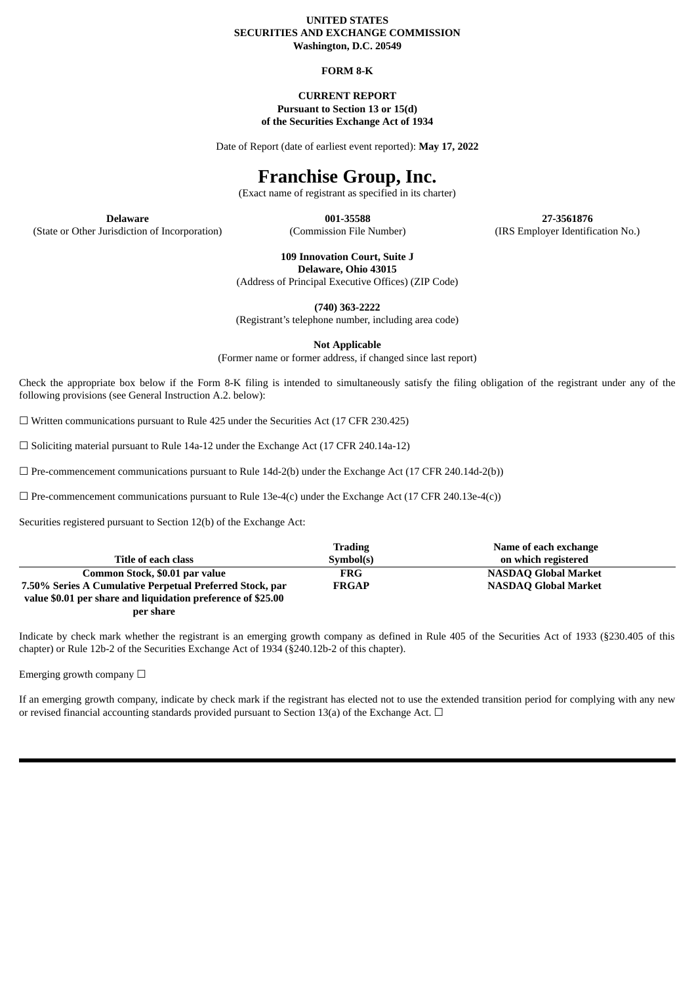### **UNITED STATES SECURITIES AND EXCHANGE COMMISSION Washington, D.C. 20549**

### **FORM 8-K**

### **CURRENT REPORT Pursuant to Section 13 or 15(d) of the Securities Exchange Act of 1934**

Date of Report (date of earliest event reported): **May 17, 2022**

# **Franchise Group, Inc.**

(Exact name of registrant as specified in its charter)

(State or Other Jurisdiction of Incorporation) (Commission File Number) (IRS Employer Identification No.)

**Delaware 001-35588 27-3561876**

**109 Innovation Court, Suite J**

**Delaware, Ohio 43015**

(Address of Principal Executive Offices) (ZIP Code)

**(740) 363-2222**

(Registrant's telephone number, including area code)

**Not Applicable**

(Former name or former address, if changed since last report)

Check the appropriate box below if the Form 8-K filing is intended to simultaneously satisfy the filing obligation of the registrant under any of the following provisions (see General Instruction A.2. below):

 $\Box$  Written communications pursuant to Rule 425 under the Securities Act (17 CFR 230.425)

 $\Box$  Soliciting material pursuant to Rule 14a-12 under the Exchange Act (17 CFR 240.14a-12)

 $\Box$  Pre-commencement communications pursuant to Rule 14d-2(b) under the Exchange Act (17 CFR 240.14d-2(b))

 $\Box$  Pre-commencement communications pursuant to Rule 13e-4(c) under the Exchange Act (17 CFR 240.13e-4(c))

Securities registered pursuant to Section 12(b) of the Exchange Act:

|                                                              | <b>Trading</b> | Name of each exchange       |
|--------------------------------------------------------------|----------------|-----------------------------|
| Title of each class                                          | Symbol(s)      | on which registered         |
| Common Stock, \$0.01 par value                               | <b>FRG</b>     | <b>NASDAQ Global Market</b> |
| 7.50% Series A Cumulative Perpetual Preferred Stock, par     | <b>FRGAP</b>   | <b>NASDAQ Global Market</b> |
| value \$0.01 per share and liquidation preference of \$25.00 |                |                             |

**per share**

Indicate by check mark whether the registrant is an emerging growth company as defined in Rule 405 of the Securities Act of 1933 (§230.405 of this chapter) or Rule 12b-2 of the Securities Exchange Act of 1934 (§240.12b-2 of this chapter).

Emerging growth company  $\Box$ 

If an emerging growth company, indicate by check mark if the registrant has elected not to use the extended transition period for complying with any new or revised financial accounting standards provided pursuant to Section 13(a) of the Exchange Act.  $\Box$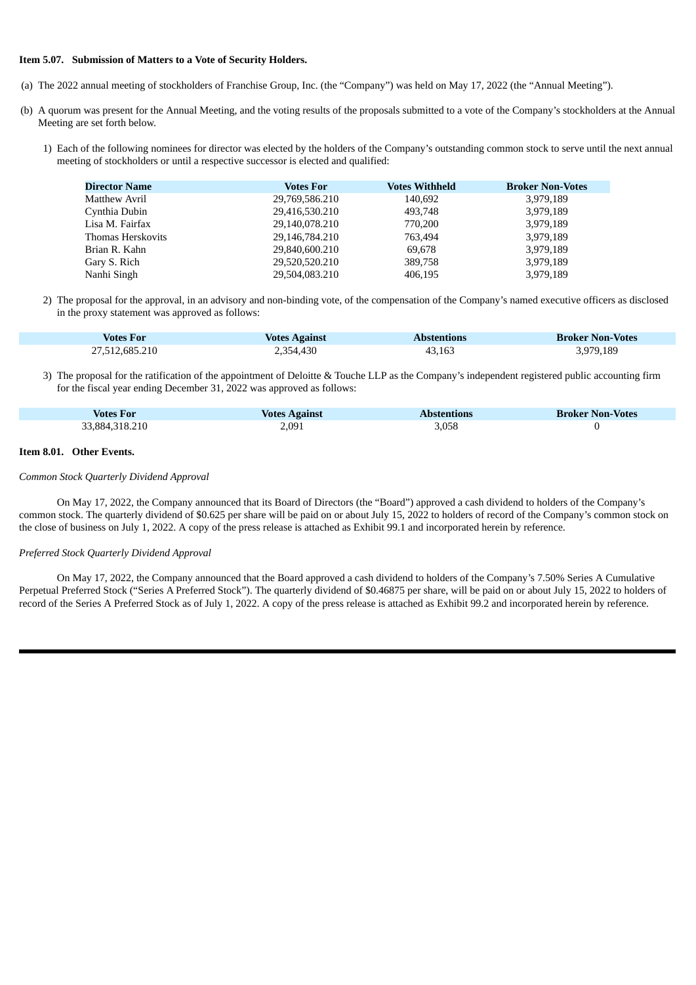### **Item 5.07. Submission of Matters to a Vote of Security Holders.**

- (a) The 2022 annual meeting of stockholders of Franchise Group, Inc. (the "Company") was held on May 17, 2022 (the "Annual Meeting").
- (b) A quorum was present for the Annual Meeting, and the voting results of the proposals submitted to a vote of the Company's stockholders at the Annual Meeting are set forth below.
	- 1) Each of the following nominees for director was elected by the holders of the Company's outstanding common stock to serve until the next annual meeting of stockholders or until a respective successor is elected and qualified:

| Director Name            | <b>Votes For</b> | <b>Votes Withheld</b> | <b>Broker Non-Votes</b> |
|--------------------------|------------------|-----------------------|-------------------------|
| <b>Matthew Avril</b>     | 29,769,586.210   | 140,692               | 3,979,189               |
| Cynthia Dubin            | 29,416,530.210   | 493,748               | 3,979,189               |
| Lisa M. Fairfax          | 29.140.078.210   | 770.200               | 3,979,189               |
| <b>Thomas Herskovits</b> | 29,146,784.210   | 763.494               | 3.979.189               |
| Brian R. Kahn            | 29,840,600.210   | 69,678                | 3,979,189               |
| Gary S. Rich             | 29,520,520.210   | 389,758               | 3,979,189               |
| Nanhi Singh              | 29,504,083.210   | 406.195               | 3,979,189               |

2) The proposal for the approval, in an advisory and non-binding vote, of the compensation of the Company's named executive officers as disclosed in the proxy statement was approved as follows:

| <b>Votes For</b> | <b>Votes Against</b> | <b>Abstentions</b> | <b>Broker Non-Votes</b> |
|------------------|----------------------|--------------------|-------------------------|
| 27,512,685.210   | 2,354,430            | 43,163             | 3,979,189               |

### 3) The proposal for the ratification of the appointment of Deloitte & Touche LLP as the Company's independent registered public accounting firm for the fiscal year ending December 31, 2022 was approved as follows:

| <b>Votes For</b> | <b>Votes Against</b> | <b>Abstentions</b> | <b>Broker Non-Votes</b> |
|------------------|----------------------|--------------------|-------------------------|
| 33,884,318.210   | 2,091                | 5,058              |                         |

#### **Item 8.01. Other Events.**

#### *Common Stock Quarterly Dividend Approval*

On May 17, 2022, the Company announced that its Board of Directors (the "Board") approved a cash dividend to holders of the Company's common stock. The quarterly dividend of \$0.625 per share will be paid on or about July 15, 2022 to holders of record of the Company's common stock on the close of business on July 1, 2022. A copy of the press release is attached as Exhibit 99.1 and incorporated herein by reference.

#### *Preferred Stock Quarterly Dividend Approval*

On May 17, 2022, the Company announced that the Board approved a cash dividend to holders of the Company's 7.50% Series A Cumulative Perpetual Preferred Stock ("Series A Preferred Stock"). The quarterly dividend of \$0.46875 per share, will be paid on or about July 15, 2022 to holders of record of the Series A Preferred Stock as of July 1, 2022. A copy of the press release is attached as Exhibit 99.2 and incorporated herein by reference.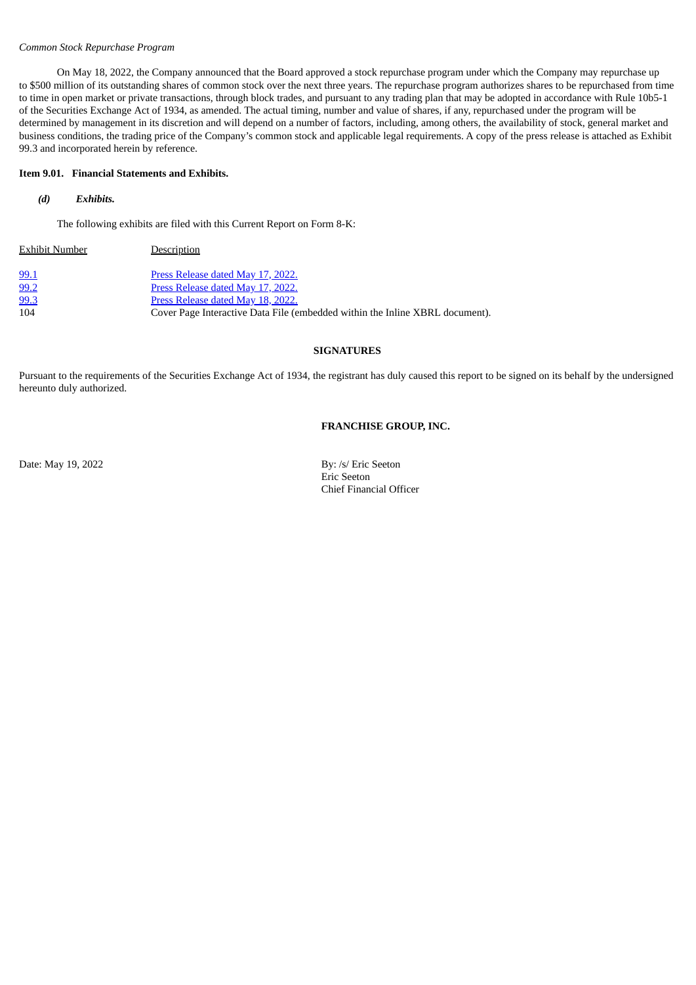### *Common Stock Repurchase Program*

On May 18, 2022, the Company announced that the Board approved a stock repurchase program under which the Company may repurchase up to \$500 million of its outstanding shares of common stock over the next three years. The repurchase program authorizes shares to be repurchased from time to time in open market or private transactions, through block trades, and pursuant to any trading plan that may be adopted in accordance with Rule 10b5-1 of the Securities Exchange Act of 1934, as amended. The actual timing, number and value of shares, if any, repurchased under the program will be determined by management in its discretion and will depend on a number of factors, including, among others, the availability of stock, general market and business conditions, the trading price of the Company's common stock and applicable legal requirements. A copy of the press release is attached as Exhibit 99.3 and incorporated herein by reference.

### **Item 9.01. Financial Statements and Exhibits.**

# *(d) Exhibits.*

The following exhibits are filed with this Current Report on Form 8-K:

| <b>Exhibit Number</b> | Description                                                                  |
|-----------------------|------------------------------------------------------------------------------|
| 99.1                  | Press Release dated May 17, 2022.                                            |
| 99.2                  | Press Release dated May 17, 2022.                                            |
| 99.3                  | Press Release dated May 18, 2022.                                            |
| 104                   | Cover Page Interactive Data File (embedded within the Inline XBRL document). |

### **SIGNATURES**

Pursuant to the requirements of the Securities Exchange Act of 1934, the registrant has duly caused this report to be signed on its behalf by the undersigned hereunto duly authorized.

#### **FRANCHISE GROUP, INC.**

Date: May 19, 2022 By: /s/ Eric Seeton Eric Seeton Chief Financial Officer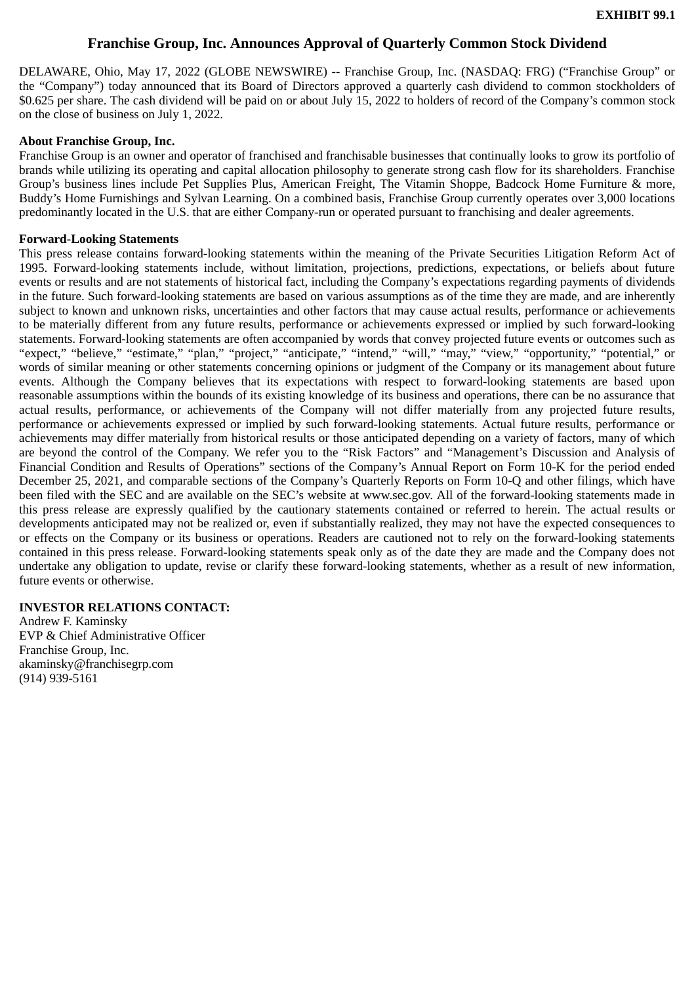# **Franchise Group, Inc. Announces Approval of Quarterly Common Stock Dividend**

<span id="page-3-0"></span>DELAWARE, Ohio, May 17, 2022 (GLOBE NEWSWIRE) -- Franchise Group, Inc. (NASDAQ: FRG) ("Franchise Group" or the "Company") today announced that its Board of Directors approved a quarterly cash dividend to common stockholders of \$0.625 per share. The cash dividend will be paid on or about July 15, 2022 to holders of record of the Company's common stock on the close of business on July 1, 2022.

# **About Franchise Group, Inc.**

Franchise Group is an owner and operator of franchised and franchisable businesses that continually looks to grow its portfolio of brands while utilizing its operating and capital allocation philosophy to generate strong cash flow for its shareholders. Franchise Group's business lines include Pet Supplies Plus, American Freight, The Vitamin Shoppe, Badcock Home Furniture & more, Buddy's Home Furnishings and Sylvan Learning. On a combined basis, Franchise Group currently operates over 3,000 locations predominantly located in the U.S. that are either Company-run or operated pursuant to franchising and dealer agreements.

# **Forward-Looking Statements**

This press release contains forward-looking statements within the meaning of the Private Securities Litigation Reform Act of 1995. Forward-looking statements include, without limitation, projections, predictions, expectations, or beliefs about future events or results and are not statements of historical fact, including the Company's expectations regarding payments of dividends in the future. Such forward-looking statements are based on various assumptions as of the time they are made, and are inherently subject to known and unknown risks, uncertainties and other factors that may cause actual results, performance or achievements to be materially different from any future results, performance or achievements expressed or implied by such forward-looking statements. Forward-looking statements are often accompanied by words that convey projected future events or outcomes such as "expect," "believe," "estimate," "plan," "project," "anticipate," "intend," "will," "may," "view," "opportunity," "potential," or words of similar meaning or other statements concerning opinions or judgment of the Company or its management about future events. Although the Company believes that its expectations with respect to forward-looking statements are based upon reasonable assumptions within the bounds of its existing knowledge of its business and operations, there can be no assurance that actual results, performance, or achievements of the Company will not differ materially from any projected future results, performance or achievements expressed or implied by such forward-looking statements. Actual future results, performance or achievements may differ materially from historical results or those anticipated depending on a variety of factors, many of which are beyond the control of the Company. We refer you to the "Risk Factors" and "Management's Discussion and Analysis of Financial Condition and Results of Operations" sections of the Company's Annual Report on Form 10-K for the period ended December 25, 2021, and comparable sections of the Company's Quarterly Reports on Form 10-Q and other filings, which have been filed with the SEC and are available on the SEC's website at www.sec.gov. All of the forward-looking statements made in this press release are expressly qualified by the cautionary statements contained or referred to herein. The actual results or developments anticipated may not be realized or, even if substantially realized, they may not have the expected consequences to or effects on the Company or its business or operations. Readers are cautioned not to rely on the forward-looking statements contained in this press release. Forward-looking statements speak only as of the date they are made and the Company does not undertake any obligation to update, revise or clarify these forward-looking statements, whether as a result of new information, future events or otherwise.

# **INVESTOR RELATIONS CONTACT:**

Andrew F. Kaminsky EVP & Chief Administrative Officer Franchise Group, Inc. akaminsky@franchisegrp.com (914) 939-5161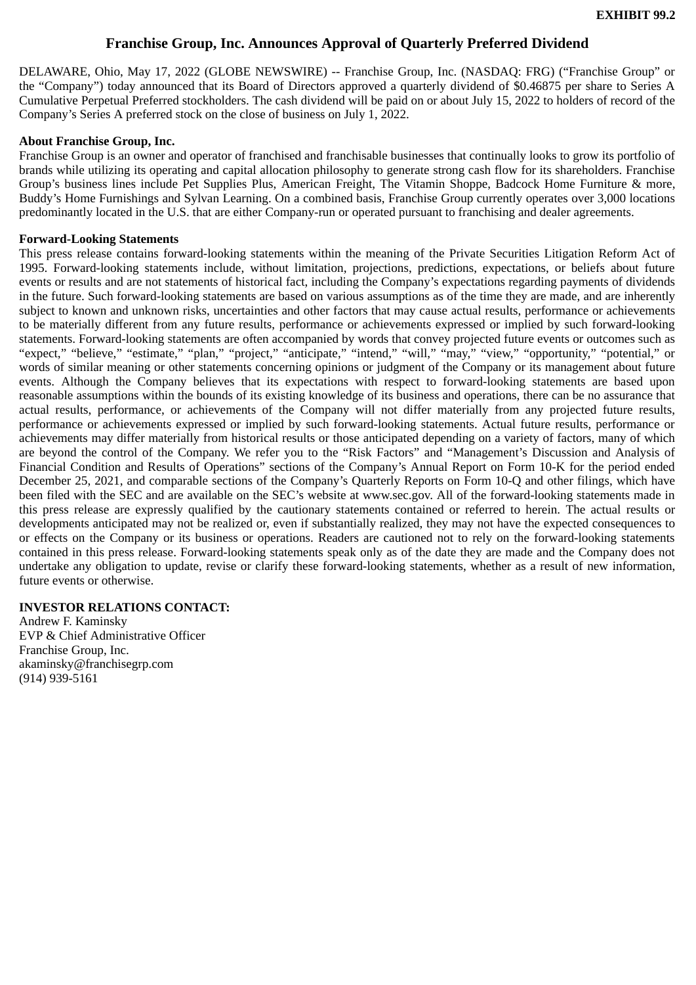# **Franchise Group, Inc. Announces Approval of Quarterly Preferred Dividend**

<span id="page-4-0"></span>DELAWARE, Ohio, May 17, 2022 (GLOBE NEWSWIRE) -- Franchise Group, Inc. (NASDAQ: FRG) ("Franchise Group" or the "Company") today announced that its Board of Directors approved a quarterly dividend of \$0.46875 per share to Series A Cumulative Perpetual Preferred stockholders. The cash dividend will be paid on or about July 15, 2022 to holders of record of the Company's Series A preferred stock on the close of business on July 1, 2022.

# **About Franchise Group, Inc.**

Franchise Group is an owner and operator of franchised and franchisable businesses that continually looks to grow its portfolio of brands while utilizing its operating and capital allocation philosophy to generate strong cash flow for its shareholders. Franchise Group's business lines include Pet Supplies Plus, American Freight, The Vitamin Shoppe, Badcock Home Furniture & more, Buddy's Home Furnishings and Sylvan Learning. On a combined basis, Franchise Group currently operates over 3,000 locations predominantly located in the U.S. that are either Company-run or operated pursuant to franchising and dealer agreements.

# **Forward-Looking Statements**

This press release contains forward-looking statements within the meaning of the Private Securities Litigation Reform Act of 1995. Forward-looking statements include, without limitation, projections, predictions, expectations, or beliefs about future events or results and are not statements of historical fact, including the Company's expectations regarding payments of dividends in the future. Such forward-looking statements are based on various assumptions as of the time they are made, and are inherently subject to known and unknown risks, uncertainties and other factors that may cause actual results, performance or achievements to be materially different from any future results, performance or achievements expressed or implied by such forward-looking statements. Forward-looking statements are often accompanied by words that convey projected future events or outcomes such as "expect," "believe," "estimate," "plan," "project," "anticipate," "intend," "will," "may," "view," "opportunity," "potential," or words of similar meaning or other statements concerning opinions or judgment of the Company or its management about future events. Although the Company believes that its expectations with respect to forward-looking statements are based upon reasonable assumptions within the bounds of its existing knowledge of its business and operations, there can be no assurance that actual results, performance, or achievements of the Company will not differ materially from any projected future results, performance or achievements expressed or implied by such forward-looking statements. Actual future results, performance or achievements may differ materially from historical results or those anticipated depending on a variety of factors, many of which are beyond the control of the Company. We refer you to the "Risk Factors" and "Management's Discussion and Analysis of Financial Condition and Results of Operations" sections of the Company's Annual Report on Form 10-K for the period ended December 25, 2021, and comparable sections of the Company's Quarterly Reports on Form 10-Q and other filings, which have been filed with the SEC and are available on the SEC's website at www.sec.gov. All of the forward-looking statements made in this press release are expressly qualified by the cautionary statements contained or referred to herein. The actual results or developments anticipated may not be realized or, even if substantially realized, they may not have the expected consequences to or effects on the Company or its business or operations. Readers are cautioned not to rely on the forward-looking statements contained in this press release. Forward-looking statements speak only as of the date they are made and the Company does not undertake any obligation to update, revise or clarify these forward-looking statements, whether as a result of new information, future events or otherwise.

# **INVESTOR RELATIONS CONTACT:**

Andrew F. Kaminsky EVP & Chief Administrative Officer Franchise Group, Inc. akaminsky@franchisegrp.com (914) 939-5161